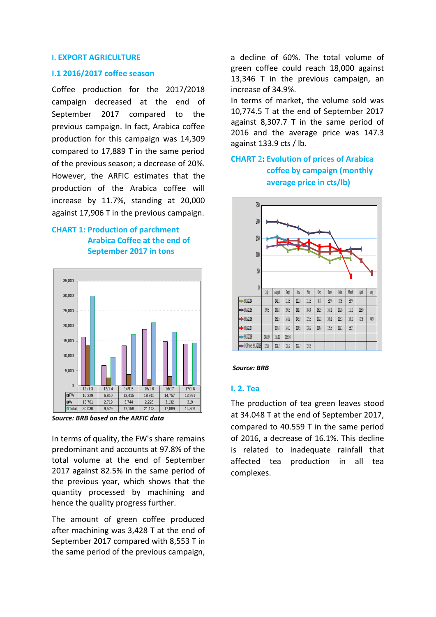#### **I. EXPORT AGRICULTURE**

#### **I.1 2016/2017 coffee season**

Coffee production for the 2017/2018 campaign decreased at the end of September 2017 compared to the previous campaign. In fact, Arabica coffee production for this campaign was 14,309 compared to 17,889 T in the same period of the previous season; a decrease of 20%. However, the ARFIC estimates that the production of the Arabica coffee will increase by 11.7%, standing at 20,000 against 17,906 T in the previous campaign.

## **CHART 1: Production of parchment Arabica Coffee at the end of September 2017 in tons**



*Source: BRB based on the ARFIC data*

In terms of quality, the FW's share remains predominant and accounts at 97.8% of the total volume at the end of September 2017 against 82.5% in the same period of the previous year, which shows that the quantity processed by machining and hence the quality progress further.

The amount of green coffee produced after machining was 3,428 T at the end of September 2017 compared with 8,553 T in the same period of the previous campaign, a decline of 60%. The total volume of green coffee could reach 18,000 against 13,346 T in the previous campaign, an increase of 34.9%.

In terms of market, the volume sold was 10,774.5 T at the end of September 2017 against 8,307.7 T in the same period of 2016 and the average price was 147.3 against 133.9 cts / lb.

## **CHART** 2**: Evolution of prices of Arabica coffee by campaign (monthly average price in cts/lb)**



#### *Source: BRB*

#### **I. 2. Tea**

The production of tea green leaves stood at 34.048 T at the end of September 2017, compared to 40.559 T in the same period of 2016, a decrease of 16.1%. This decline is related to inadequate rainfall that affected tea production in all tea complexes.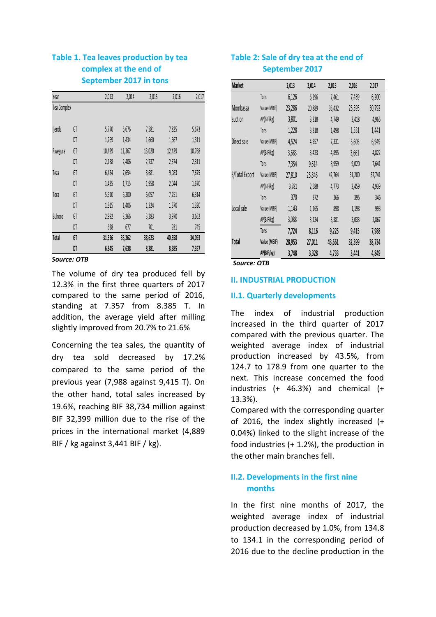## **Table 1. Tea leaves production by tea complex at the end of September 2017 in tons**

|                    | 2,013  | 2,014  | 2,015  | 2,016  | 2,017  |
|--------------------|--------|--------|--------|--------|--------|
| <b>Tea Complex</b> |        |        |        |        |        |
|                    |        |        |        |        |        |
| GT                 | 5,770  | 6,676  | 7,581  | 7,825  | 5,673  |
| DT                 | 1,269  | 1,434  | 1,660  | 1,667  | 1,311  |
| GT                 | 10,429 | 11,367 | 13,020 | 12,429 | 10,768 |
| DT                 | 2,188  | 2,406  | 2,737  | 2,374  | 2,311  |
| GT                 | 6,434  | 7,654  | 8,681  | 9,083  | 7,675  |
| DT                 | 1,435  | 1,715  | 1,958  | 2,044  | 1,670  |
| GT                 | 5,910  | 6,300  | 6,057  | 7,251  | 6,314  |
| DT                 | 1,315  | 1,406  | 1,324  | 1,370  | 1,320  |
| GT                 | 2,992  | 3,266  | 3,283  | 3,970  | 3,662  |
| DT                 | 638    | 677    | 701    | 931    | 745    |
| GT                 | 31,536 | 35,262 | 38,623 | 40,558 | 34,093 |
| DT                 | 6,845  | 7,638  | 8,381  | 8,385  | 7,357  |
|                    |        |        |        |        |        |

#### *Source: OTB*

The volume of dry tea produced fell by 12.3% in the first three quarters of 2017 compared to the same period of 2016, standing at 7.357 from 8.385 T. In addition, the average yield after milling slightly improved from 20.7% to 21.6%

Concerning the tea sales, the quantity of dry tea sold decreased by 17.2% compared to the same period of the previous year (7,988 against 9,415 T). On the other hand, total sales increased by 19.6%, reaching BIF 38,734 million against BIF 32,399 million due to the rise of the prices in the international market (4,889 BIF / kg against 3,441 BIF / kg).

## **Table 2: Sale of dry tea at the end of September 2017**

| <b>Market</b>  |              | 2,013  | 2,014  | 2,015  | 2,016  | 2,017  |
|----------------|--------------|--------|--------|--------|--------|--------|
|                | Tons         | 6,126  | 6,296  | 7,461  | 7,489  | 6,200  |
| Mombassa       | Value (MBIF) | 23,286 | 20,889 | 35,432 | 25,595 | 30,792 |
| auction        | AP(BIF/kg)   | 3,801  | 3,318  | 4,749  | 3,418  | 4,966  |
|                | Tons         | 1,228  | 3,318  | 1,498  | 1,531  | 1,441  |
| Direct sale    | Value (MBIF) | 4,524  | 4,957  | 7,331  | 5,605  | 6,949  |
|                | AP(BIF/kg)   | 3,683  | 3,423  | 4,895  | 3,661  | 4,822  |
|                | Tons         | 7,354  | 9,614  | 8,959  | 9,020  | 7,641  |
| S/Total Export | Value (MBIF) | 27,810 | 25,846 | 42,764 | 31,200 | 37,741 |
|                | AP(BIF/kg)   | 3,781  | 2,688  | 4,773  | 3,459  | 4,939  |
|                | Tons         | 370    | 372    | 266    | 395    | 346    |
| Local sale     | Value (MBIF) | 1,143  | 1,165  | 898    | 1,198  | 993    |
|                | AP(BIF/kg)   | 3,088  | 3,134  | 3,381  | 3,033  | 2,867  |
|                | Tons         | 7,724  | 8,116  | 9,225  | 9,415  | 7,988  |
| Total          | Value (MBIF) | 28,953 | 27,011 | 43,661 | 32,399 | 38,734 |
|                | AP(BIF/kg)   | 3,748  | 3,328  | 4,733  | 3,441  | 4,849  |

*Source: OTB*

### **II. INDUSTRIAL PRODUCTION**

### **II.1. Quarterly developments**

The index of industrial production increased in the third quarter of 2017 compared with the previous quarter. The weighted average index of industrial production increased by 43.5%, from 124.7 to 178.9 from one quarter to the next. This increase concerned the food industries (+ 46.3%) and chemical (+ 13.3%).

Compared with the corresponding quarter of 2016, the index slightly increased (+ 0.04%) linked to the slight increase of the food industries (+ 1.2%), the production in the other main branches fell.

## **II.2. Developments in the first nine months**

In the first nine months of 2017, the weighted average index of industrial production decreased by 1.0%, from 134.8 to 134.1 in the corresponding period of 2016 due to the decline production in the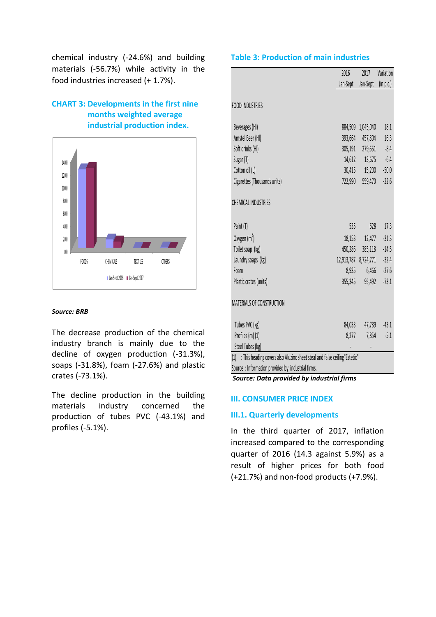chemical industry (-24.6%) and building materials (-56.7%) while activity in the food industries increased (+ 1.7%).

## **CHART 3: Developments in the first nine months weighted average industrial production index.**



### *Source: BRB*

The decrease production of the chemical industry branch is mainly due to the decline of oxygen production (-31.3%), soaps (-31.8%), foam (-27.6%) and plastic crates (-73.1%).

The decline production in the building materials industry concerned the production of tubes PVC (-43.1%) and profiles (-5.1%).

### **Table 3: Production of main industries**

|                                                                                                                                         | 2016                 | 2017      | Variation |
|-----------------------------------------------------------------------------------------------------------------------------------------|----------------------|-----------|-----------|
|                                                                                                                                         | Jan-Sept             | Jan-Sept  | (in p.c.) |
|                                                                                                                                         |                      |           |           |
| <b>FOOD INDUSTRIES</b>                                                                                                                  |                      |           |           |
| Beverages (HI)                                                                                                                          | 884,509              | 1,045,040 | 18.1      |
| Amstel Beer (HI)                                                                                                                        | 393,664              | 457,804   | 16.3      |
| Soft drinks (HI)                                                                                                                        | 305,191              | 279,651   | $-8.4$    |
| Sugar (T)                                                                                                                               | 14,612               | 13,675    | $-6.4$    |
| Cotton oil (L)                                                                                                                          | 30,415               | 15,200    | 50.0      |
| Cigarettes (Thousands units)                                                                                                            | 722,990              | 559,470   | $-22.6$   |
|                                                                                                                                         |                      |           |           |
| <b>CHEMICAL INDUSTRIES</b>                                                                                                              |                      |           |           |
|                                                                                                                                         |                      |           |           |
| Paint (T)                                                                                                                               | 535                  | 628       | 17.3      |
| Oxygen (m <sup>3</sup> )                                                                                                                | 18,153               | 12,477    | 31.3      |
| Toilet soap (kg)                                                                                                                        | 450,286              | 385,118   | 14.5      |
| Laundry soaps (kg)                                                                                                                      | 12,913,787 8,724,771 |           | 32.4      |
| <b>Foam</b>                                                                                                                             | 8,935                | 6,466     | 27.6      |
| Plastic crates (units)                                                                                                                  | 355,345              | 95,492    | 73.1      |
|                                                                                                                                         |                      |           |           |
| MATERIALS OF CONSTRUCTION                                                                                                               |                      |           |           |
|                                                                                                                                         |                      |           |           |
| Tubes PVC (kg)                                                                                                                          | 84,033               | 47,789    | 43.1      |
| Profiles (m) (1)                                                                                                                        | 8,277                | 7,854     | $-5.1$    |
| Steel Tubes (kg)                                                                                                                        |                      |           |           |
| : This heading covers also Aluzinc sheet steal and false ceiling" Estetic".<br>(1)<br>Source: Information provided by industrial firms. |                      |           |           |
|                                                                                                                                         |                      |           |           |

*Source: Data provided by industrial firms*

### **III. CONSUMER PRICE INDEX**

### **III.1. Quarterly developments**

In the third quarter of 2017, inflation increased compared to the corresponding quarter of 2016 (14.3 against 5.9%) as a result of higher prices for both food (+21.7%) and non-food products (+7.9%).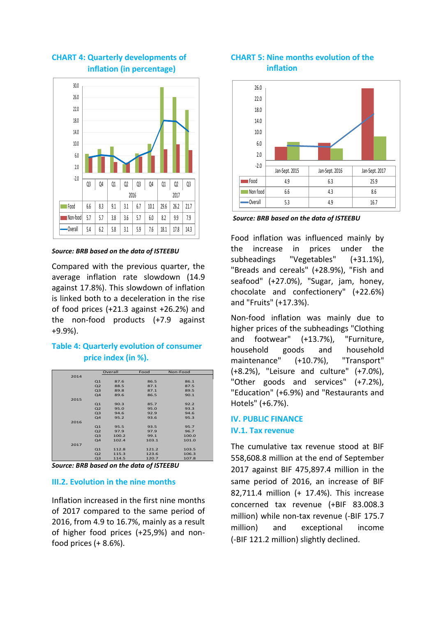

## **CHART 4: Quarterly developments of inflation (in percentage)**

*Source: BRB based on the data of ISTEEBU*

Compared with the previous quarter, the average inflation rate slowdown (14.9 against 17.8%). This slowdown of inflation is linked both to a deceleration in the rise of food prices (+21.3 against +26.2%) and the non-food products (+7.9 against +9.9%).

## **Table 4: Quarterly evolution of consumer price index (in %).**

|      |                | Overall | Food  | Non-Food |
|------|----------------|---------|-------|----------|
| 2014 |                |         |       |          |
|      | Q1             | 87.6    | 86.5  | 86.1     |
|      | Q <sub>2</sub> | 88.5    | 87.1  | 87.5     |
|      | Q <sub>3</sub> | 89.8    | 87.1  | 89.5     |
|      | Q <sub>4</sub> | 89.6    | 86.5  | 90.1     |
| 2015 |                |         |       |          |
|      | Q1             | 90.3    | 85.7  | 92.2     |
|      | Q <sub>2</sub> | 95.0    | 95.0  | 93.3     |
|      | Q <sub>3</sub> | 94.6    | 92.9  | 94.6     |
|      | Q <sub>4</sub> | 95.2    | 93.6  | 95.3     |
| 2016 |                |         |       |          |
|      | Q1             | 95.5    | 93.5  | 95.7     |
|      | Q <sub>2</sub> | 97.9    | 97.9  | 96.7     |
|      | Q <sub>3</sub> | 100.2   | 99.1  | 100.0    |
|      | Q <sub>4</sub> | 102.4   | 103.1 | 101.0    |
| 2017 |                |         |       |          |
|      | Q1             | 112.8   | 121.2 | 103.5    |
|      | Q <sub>2</sub> | 115.3   | 123.6 | 106.3    |
|      | Q <sub>3</sub> | 114.5   | 120.7 | 107.8    |

# *Source: BRB based on the data of ISTEEBU*

## **III.2. Evolution in the nine months**

Inflation increased in the first nine months of 2017 compared to the same period of 2016, from 4.9 to 16.7%, mainly as a result of higher food prices (+25,9%) and nonfood prices  $(+ 8.6\%).$ 

### **CHART 5: Nine months evolution of the inflation**



*Source: BRB based on the data of ISTEEBU*

Food inflation was influenced mainly by the increase in prices under the subheadings "Vegetables" (+31.1%), "Breads and cereals" (+28.9%), "Fish and seafood" (+27.0%), "Sugar, jam, honey, chocolate and confectionery" (+22.6%) and "Fruits" (+17.3%).

Non-food inflation was mainly due to higher prices of the subheadings "Clothing and footwear" (+13.7%), "Furniture, household goods and household maintenance" (+10.7%), "Transport" (+8.2%), "Leisure and culture" (+7.0%), "Other goods and services" (+7.2%), "Education" (+6.9%) and "Restaurants and Hotels" (+6.7%).

### **IV. PUBLIC FINANCE IV.1. Tax revenue**

The cumulative tax revenue stood at BIF 558,608.8 million at the end of September 2017 against BIF 475,897.4 million in the same period of 2016, an increase of BIF 82,711.4 million (+ 17.4%). This increase concerned tax revenue (+BIF 83.008.3 million) while non-tax revenue (-BIF 175.7 million) and exceptional income (-BIF 121.2 million) slightly declined.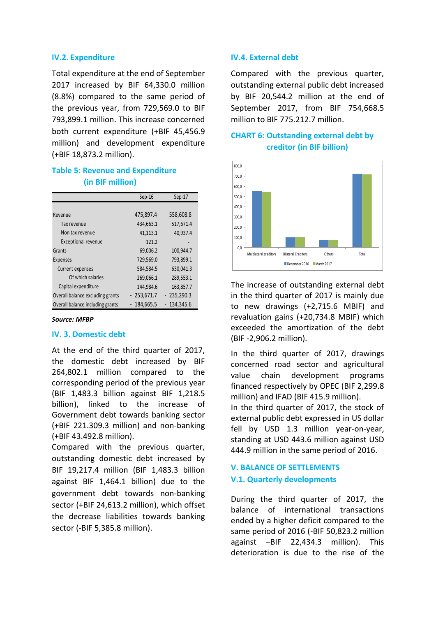### **IV.2. Expenditure**

Total expenditure at the end of September 2017 increased by BIF 64,330.0 million (8.8%) compared to the same period of the previous year, from 729,569.0 to BIF 793,899.1 million. This increase concerned both current expenditure (+BIF 45,456.9 million) and development expenditure (+BIF 18,873.2 million).

## **Table 5: Revenue and Expenditure (in BIF million)**

|                                  | Sep-16       | Sep-17       |
|----------------------------------|--------------|--------------|
|                                  |              |              |
| Revenue                          | 475,897.4    | 558,608.8    |
| Tax revenue                      | 434,663.1    | 517,671.4    |
| Non tax revenue                  | 41,113.1     | 40,937.4     |
| <b>Exceptional revenue</b>       | 121.2        |              |
| Grants                           | 69,006.2     | 100,944.7    |
| Expenses                         | 729,569.0    | 793,899.1    |
| <b>Current expenses</b>          | 584,584.5    | 630,041.3    |
| Of which salaries                | 269,066.1    | 289,553.1    |
| Capital expenditure              | 144,984.6    | 163,857.7    |
| Overall balance excluding grants | $-253,671.7$ | $-235,290.3$ |
| Overall balance including grants | 184,665.5    | 134,345.6    |

#### *Source: MFBP*

#### **IV. 3. Domestic debt**

At the end of the third quarter of 2017, the domestic debt increased by BIF 264,802.1 million compared to the corresponding period of the previous year (BIF 1,483.3 billion against BIF 1,218.5 billion), linked to the increase of Government debt towards banking sector (+BIF 221.309.3 million) and non-banking (+BIF 43.492.8 million).

Compared with the previous quarter, outstanding domestic debt increased by BIF 19,217.4 million (BIF 1,483.3 billion against BIF 1,464.1 billion) due to the government debt towards non-banking sector (+BIF 24,613.2 million), which offset the decrease liabilities towards banking sector (-BIF 5,385.8 million).

### **IV.4. External debt**

Compared with the previous quarter, outstanding external public debt increased by BIF 20,544.2 million at the end of September 2017, from BIF 754,668.5 million to BIF 775.212.7 million.

## **CHART 6: Outstanding external debt by creditor (in BIF billion)**



The increase of outstanding external debt in the third quarter of 2017 is mainly due to new drawings (+2,715.6 MBIF) and revaluation gains (+20,734.8 MBIF) which exceeded the amortization of the debt (BIF -2,906.2 million).

In the third quarter of 2017, drawings concerned road sector and agricultural value chain development programs financed respectively by OPEC (BIF 2,299.8 million) and IFAD (BIF 415.9 million).

In the third quarter of 2017, the stock of external public debt expressed in US dollar fell by USD 1.3 million year-on-year, standing at USD 443.6 million against USD 444.9 million in the same period of 2016.

## **V. BALANCE OF SETTLEMENTS V.1. Quarterly developments**

During the third quarter of 2017, the balance of international transactions ended by a higher deficit compared to the same period of 2016 (-BIF 50,823.2 million against –BIF 22,434.3 million). This deterioration is due to the rise of the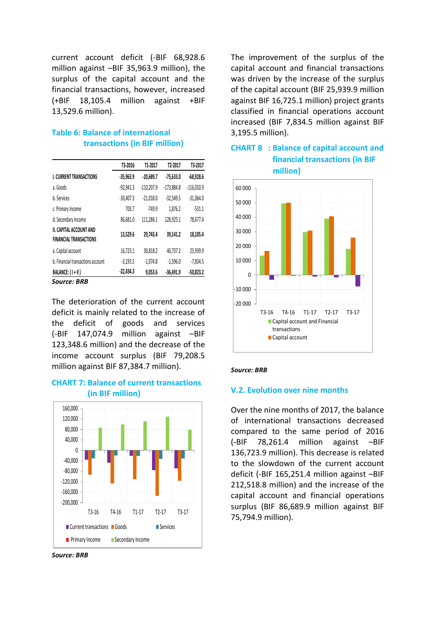current account deficit (-BIF 68,928.6 million against –BIF 35,963.9 million), the surplus of the capital account and the financial transactions, however, increased (+BIF 18,105.4 million against +BIF 13,529.6 million).

## **Table 6: Balance of international transactions (in BIF million)**

|                                                          | T3-2016     | T1-2017      | T <sub>2</sub> -2017 | T3-2017      |
|----------------------------------------------------------|-------------|--------------|----------------------|--------------|
| <b>I. CURRENT TRANSACTIONS</b>                           | $-35,963.9$ | $-20,689.7$  | $-75,633.0$          | $-68,928.6$  |
| a. Goods                                                 | $-92,941.3$ | $-110.207.9$ | $-173,884.8$         | $-116,010.9$ |
| b. Services                                              | $-30,407.3$ | $-21,018.0$  | $-32,549.5$          | $-31,064.0$  |
| c. Primary Income                                        | 703.7       | $-749.9$     | 1,876.2              | $-531.1$     |
| d. Secondary Income                                      | 86,681.0    | 111,286.1    | 128,925.1            | 78,677.4     |
| II. CAPITAL ACCOUNT AND<br><b>FINANCIAL TRANSACTIONS</b> | 13,529.6    | 29.743.4     | 39.141.2             | 18.105.4     |
| a. Capital account                                       | 16,725.1    | 30,818.2     | 40,737.2             | 25,939.9     |
| b. Financial transactions account                        | $-3,195.5$  | $-1,074.8$   | $-1,596.0$           | $-7,834.5$   |
| BALANCE: (I+II)                                          | $-22,434.3$ | 9,053.6      | $-36,491.9$          | $-50,823.2$  |

*Source: BRB*

The deterioration of the current account deficit is mainly related to the increase of the deficit of goods and services (-BIF 147,074.9 million against –BIF 123,348.6 million) and the decrease of the income account surplus (BIF 79,208.5 million against BIF 87,384.7 million).

### **CHART 7: Balance of current transactions (in BIF million)**



*Source: BRB*

The improvement of the surplus of the capital account and financial transactions was driven by the increase of the surplus of the capital account (BIF 25,939.9 million against BIF 16,725.1 million) project grants classified in financial operations account increased (BIF 7,834.5 million against BIF 3,195.5 million).



# **CHART 8 : Balance of capital account and financial transactions (in BIF**

#### *Source: BRB*

### **V.2. Evolution over nine months**

Over the nine months of 2017, the balance of international transactions decreased compared to the same period of 2016 (-BIF 78,261.4 million against –BIF 136,723.9 million). This decrease is related to the slowdown of the current account deficit (-BIF 165,251.4 million against –BIF 212,518.8 million) and the increase of the capital account and financial operations surplus (BIF 86,689.9 million against BIF 75,794.9 million).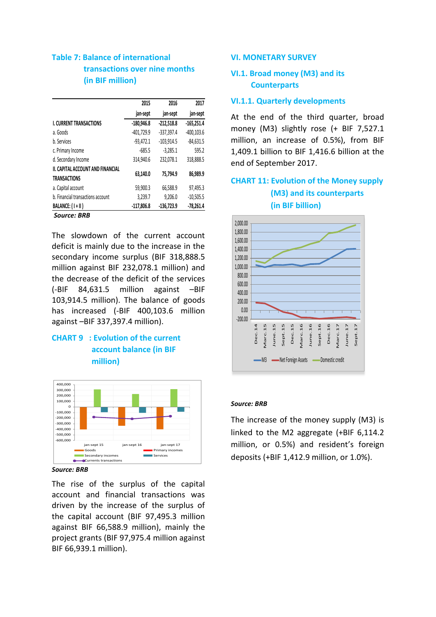## **Table 7: Balance of international transactions over nine months (in BIF million)**

|                                   | 2015         | 2016         | 2017          |
|-----------------------------------|--------------|--------------|---------------|
|                                   | jan-sept     | jan-sept     | jan-sept      |
| <b>I. CURRENT TRANSACTIONS</b>    | $-180,946.8$ | $-212,518.8$ | $-165,251.4$  |
| a. Goods                          | $-401,729.9$ | $-337,397.4$ | $-400, 103.6$ |
| b. Services                       | $-93,472.1$  | $-103,914.5$ | $-84,631.5$   |
| c. Primary Income                 | $-685.5$     | $-3,285.1$   | 595.2         |
| d. Secondary Income               | 314,940.6    | 232.078.1    | 318,888.5     |
| II. CAPITAL ACCOUNT AND FINANCIAL |              |              |               |
| <b>TRANSACTIONS</b>               | 63.140.0     | 75.794.9     | 86,989.9      |
| a. Capital account                | 59,900.3     | 66,588.9     | 97,495.3      |
| b. Financial transactions account | 3,239.7      | 9,206.0      | $-10,505.5$   |
| BALANCE: (1+11)                   | $-117,806.8$ | $-136,723.9$ | $-78,261.4$   |
| C DDD                             |              |              |               |

*Source: BRB*

The slowdown of the current account deficit is mainly due to the increase in the secondary income surplus (BIF 318,888.5 million against BIF 232,078.1 million) and the decrease of the deficit of the services (-BIF 84,631.5 million against –BIF 103,914.5 million). The balance of goods has increased (-BIF 400,103.6 million against –BIF 337,397.4 million).

## **CHART 9 : Evolution of the current account balance (in BIF million)**



*Source: BRB*

The rise of the surplus of the capital account and financial transactions was driven by the increase of the surplus of the capital account (BIF 97,495.3 million against BIF 66,588.9 million), mainly the project grants (BIF 97,975.4 million against BIF 66,939.1 million).

### **VI. MONETARY SURVEY**

## **VI.1. Broad money (M3) and its Counterparts**

### **VI.1.1. Quarterly developments**

At the end of the third quarter, broad money (M3) slightly rose (+ BIF 7,527.1 million, an increase of 0.5%), from BIF 1,409.1 billion to BIF 1,416.6 billion at the end of September 2017.

## **CHART 11: Evolution of the Money supply (M3) and its counterparts**

 **(in BIF billion)**



#### *Source: BRB*

The increase of the money supply (M3) is linked to the M2 aggregate (+BIF 6,114.2 million, or 0.5%) and resident's foreign deposits (+BIF 1,412.9 million, or 1.0%).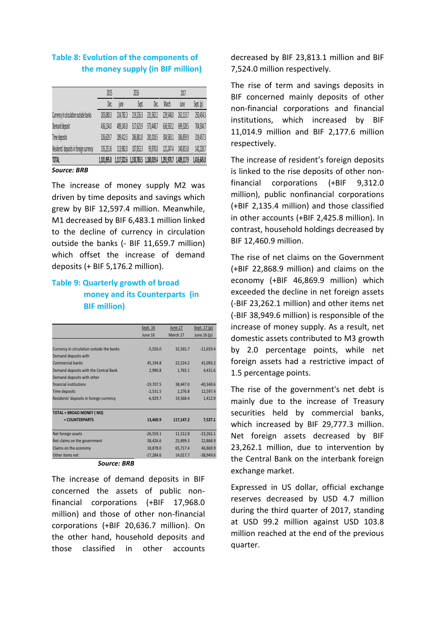## **Table 8: Evolution of the components of the money supply (in BIF million)**

|                                         | 2015        |           | 2016                                |           |             | 2017        |             |
|-----------------------------------------|-------------|-----------|-------------------------------------|-----------|-------------|-------------|-------------|
|                                         | Dec.        | iune      | Sept.                               | Dec.      | March       | June        | Sept. (p)   |
| Currency in circulation outside banks   | 203,080.3   | 224,782.3 | 219,226.3                           | 231,582.2 | 229,548.0   | 262,113.7   | 250,454.3   |
| Demand deposit                          | 436,134.0   | 489,145.8 | 517,623.9                           | 573,448.7 | 636,592.2   | 699,328.5   | 704,504.7   |
| Time deposits                           | 326,629.7   | 289,412.5 | 286,881.0                           | 281,018.5 | 304,583.1   | 306,859.9   | 319,457.3   |
| Residents' deposits in foreign currency | 135,251.8   | 113,982.0 | 107,052.3                           | 93,970.0  | 121,247.4   | 140,815.8   | 142,228.7   |
| <b>TOTAL</b>                            | 1.101.095.8 |           | 1,117,322.6 1,130,783.5 1,180,019.4 |           | 1,291,970.7 | 1,409,117.9 | 1,416,645.0 |

#### *Source: BRB*

The increase of money supply M2 was driven by time deposits and savings which grew by BIF 12,597.4 million. Meanwhile, M1 decreased by BIF 6,483.1 million linked to the decline of currency in circulation outside the banks (- BIF 11,659.7 million) which offset the increase of demand deposits (+ BIF 5,176.2 million).

## **Table 9: Quarterly growth of broad money and its Counterparts (in BIF million)**

|                                           | Sept. 16    | June.17   | Sept. 17 (p) |
|-------------------------------------------|-------------|-----------|--------------|
|                                           | June 16     | March.17  | June.16 (p)  |
|                                           |             |           |              |
| Currency in circulation outside the banks | $-5,556.0$  | 32,565.7  | $-11,659.4$  |
| Demand deposits with                      |             |           |              |
| <b>Commercial banks</b>                   | 45,194.8    | 22,524.2  | 41,093.2     |
| Demand deposits with the Central Bank     | 2,990.8     | 1,765.1   | 4,431.6      |
| Demand deposits with other                |             |           |              |
| financial institutions                    | $-19,707.5$ | 38,447.0  | $-40,348.6$  |
| Time deposits                             | $-2,531.5$  | 2,276.8   | 12,597.4     |
| Residents' deposits in foreign currency   | $-6,929.7$  | 19,568.4  | 1,412.9      |
|                                           |             |           |              |
| <b>TOTAL = BROAD MONEY (M3)</b>           |             |           |              |
| = COUNTERPARTS                            | 13,460.9    | 117,147.2 | 7,527.1      |
|                                           |             |           |              |
| Net foreign assets                        | $-26,559.1$ | 11,512.8  | $-23,262.1$  |
| Net claims on the government              | 38,426.6    | 25,899.3  | 22,868.9     |
| Claims on the economy                     | 18,878.0    | 65,717.4  | 46,869.9     |
| Other items net                           | $-17,284.6$ | 14,017.7  | $-38,949.6$  |
| Caursa, DDD                               |             |           |              |

#### *Source: BRB*

The increase of demand deposits in BIF concerned the assets of public nonfinancial corporations (+BIF 17,968.0 million) and those of other non-financial corporations (+BIF 20,636.7 million). On the other hand, household deposits and those classified in other accounts decreased by BIF 23,813.1 million and BIF 7,524.0 million respectively.

The rise of term and savings deposits in BIF concerned mainly deposits of other non-financial corporations and financial institutions, which increased by BIF 11,014.9 million and BIF 2,177.6 million respectively.

The increase of resident's foreign deposits is linked to the rise deposits of other nonfinancial corporations (+BIF 9,312.0 million), public nonfinancial corporations (+BIF 2,135.4 million) and those classified in other accounts (+BIF 2,425.8 million). In contrast, household holdings decreased by BIF 12,460.9 million.

The rise of net claims on the Government (+BIF 22,868.9 million) and claims on the economy (+BIF 46,869.9 million) which exceeded the decline in net foreign assets (-BIF 23,262.1 million) and other items net (-BIF 38,949.6 million) is responsible of the increase of money supply. As a result, net domestic assets contributed to M3 growth by 2.0 percentage points, while net foreign assets had a restrictive impact of 1.5 percentage points.

The rise of the government's net debt is mainly due to the increase of Treasury securities held by commercial banks, which increased by BIF 29,777.3 million. Net foreign assets decreased by BIF 23,262.1 million, due to intervention by the Central Bank on the interbank foreign exchange market.

Expressed in US dollar, official exchange reserves decreased by USD 4.7 million during the third quarter of 2017, standing at USD 99.2 million against USD 103.8 million reached at the end of the previous quarter.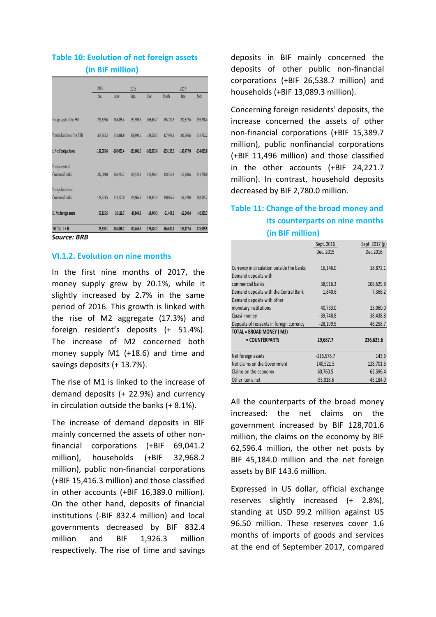## **Table 10: Evolution of net foreign assets (in BIF million)**

|                                | 2015         |              | 2016         |              |              | 2017         |              |
|--------------------------------|--------------|--------------|--------------|--------------|--------------|--------------|--------------|
|                                | dec.         | June         | Sept.        | Dec.         | March        | June         | Sept.        |
|                                |              |              |              |              |              |              |              |
| Foreign assets of the BRB      | 221,829.6    | 165.835.4    | 157.393.5    | 166.434.7    | 194.792.3    | 200.827.6    | 198,728.4    |
| Foreign liabilities of the BRB | 354,815.2    | 351.838.8    | 338.994.5    | 328.508.5    | 327.928.2    | 341,304.6    | 332,752.2    |
| I. Net Foreign Assets          | $-132,985.6$ | $-186,003.4$ | $-181,601,0$ | $-162,073.8$ | $-133.135.9$ | $-140,477.0$ | $-134,023.8$ |
| Foreign assets of              |              |              |              |              |              |              |              |
| Commercial banks               | 207,089.0    | 163,223.7    | 129,120.3    | 125,486.1    | 118,563.4    | 153,908.6    | 141,770.0    |
| Foreign liabilities of         |              |              |              |              |              |              |              |
| Commercial banks               | 149,973.5    | 143,107.0    | 139.965.1    | 139.935.4    | 150,057.7    | 166,549.0    | 184,125.7    |
| II. Net foreign assets         | 57,115.5     | 20,116.7     | $-10,844.8$  | $-14,449.3$  | $-31,494.3$  | $-12,640.4$  | $-42,355.7$  |
| TOTAL I+II                     | $-75,870.1$  | $-165,886.7$ | $-192,445.8$ | $-176,523.1$ | $-164,630.2$ | $-153,117.4$ | $-176,379.5$ |

### **VI.1.2. Evolution on nine months**

In the first nine months of 2017, the money supply grew by 20.1%, while it slightly increased by 2.7% in the same period of 2016. This growth is linked with the rise of M2 aggregate (17.3%) and foreign resident's deposits (+ 51.4%). The increase of M2 concerned both money supply M1 (+18.6) and time and savings deposits (+ 13.7%).

The rise of M1 is linked to the increase of demand deposits (+ 22.9%) and currency in circulation outside the banks (+ 8.1%).

The increase of demand deposits in BIF mainly concerned the assets of other nonfinancial corporations (+BIF 69,041.2 million), households (+BIF 32,968.2 million), public non-financial corporations (+BIF 15,416.3 million) and those classified in other accounts (+BIF 16,389.0 million). On the other hand, deposits of financial institutions (-BIF 832.4 million) and local governments decreased by BIF 832.4 million and BIF 1,926.3 million respectively. The rise of time and savings deposits in BIF mainly concerned the deposits of other public non-financial corporations (+BIF 26,538.7 million) and households (+BIF 13,089.3 million).

Concerning foreign residents' deposits, the increase concerned the assets of other non-financial corporations (+BIF 15,389.7 million), public nonfinancial corporations (+BIF 11,496 million) and those classified in the other accounts (+BIF 24,221.7 million). In contrast, household deposits decreased by BIF 2,780.0 million.

## **Table 11: Change of the broad money and its counterparts on nine months (in BIF million)**

|                                           | Sept. 2016   | Sept. 2017 (p) |
|-------------------------------------------|--------------|----------------|
|                                           | Dec. 2015    | Dec.2016       |
|                                           |              |                |
| Currency in circulation outside the banks | 16,146.0     | 18,872.1       |
| Demand deposits with                      |              |                |
| commercial banks                          | 38,916.3     | 108,629.8      |
| Demand deposits with the Central Bank     | 1,840.6      | 7,366.2        |
| Demand deposits with other                |              |                |
| monetary institutions                     | 40,733.0     | 15,060.0       |
| Quasi-money                               | $-39,748.8$  | 38,438.8       |
| Deposits of resisents in foreign currency | $-28,199.5$  | 48,258.7       |
| TOTAL = BROAD MONEY (M3)                  |              |                |
| = COUNTERPARTS                            | 29,687.7     | 236,625.6      |
|                                           |              |                |
| Net foreign assets                        | $-116,575.7$ | 143.6          |
| Net claims on the Government              | 140,521.5    | 128,701.6      |
| Claims on the economy                     | 60,760.5     | 62,596.4       |
| Other items net                           | $-55,018.6$  | 45,184.0       |

All the counterparts of the broad money increased: the net claims on the government increased by BIF 128,701.6 million, the claims on the economy by BIF 62,596.4 million, the other net posts by BIF 45,184.0 million and the net foreign assets by BIF 143.6 million.

Expressed in US dollar, official exchange reserves slightly increased (+ 2.8%), standing at USD 99.2 million against US 96.50 million. These reserves cover 1.6 months of imports of goods and services at the end of September 2017, compared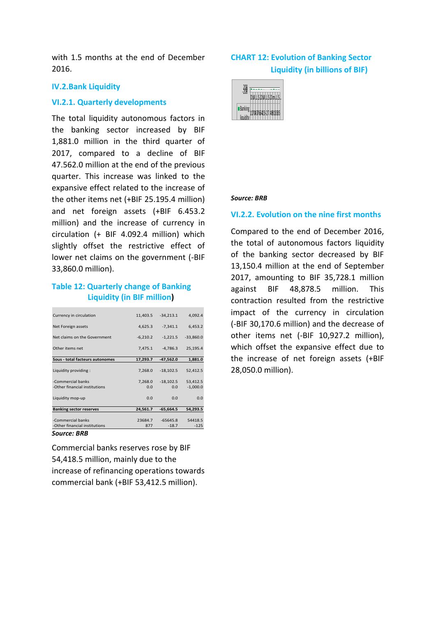with 1.5 months at the end of December 2016.

#### **IV.2.Bank Liquidity**

### **VI.2.1. Quarterly developments**

The total liquidity autonomous factors in the banking sector increased by BIF 1,881.0 million in the third quarter of 2017, compared to a decline of BIF 47.562.0 million at the end of the previous quarter. This increase was linked to the expansive effect related to the increase of the other items net (+BIF 25.195.4 million) and net foreign assets (+BIF 6.453.2 million) and the increase of currency in circulation (+ BIF 4.092.4 million) which slightly offset the restrictive effect of lower net claims on the government (-BIF 33,860.0 million).

### **Table 12: Quarterly change of Banking Liquidity (in BIF million)**

| Currency in circulation         | 11,403.5   | $-34,213.1$ | 4,092.4     |
|---------------------------------|------------|-------------|-------------|
| Net Foreign assets              | 4,625.3    | $-7,341.1$  | 6,453.2     |
| Net claims on the Government    | $-6,210.2$ | $-1,221.5$  | $-33,860.0$ |
| Other items net                 | 7,475.1    | $-4,786.3$  | 25,195.4    |
| Sous - total facteurs autonomes | 17,293.7   | $-47,562.0$ | 1,881.0     |
|                                 |            |             |             |
| Liquidity providing:            | 7,268.0    | $-18,102.5$ | 52,412.5    |
| -Commercial banks               | 7,268.0    | $-18,102.5$ | 53,412.5    |
| -Other financial institutions   | 0.0        | 0.0         | $-1,000.0$  |
| Liquidity mop-up                | 0.0        | 0.0         | 0.0         |
| <b>Banking sector reserves</b>  | 24,561.7   | $-65,664.5$ | 54,293.5    |
|                                 |            |             |             |
| -Commercial banks               | 23684.7    | $-65645.8$  | 54418.5     |
| -Other financial institutions   | 877        | $-18.7$     | $-125$      |
| Source: BRB                     |            |             |             |

Commercial banks reserves rose by BIF 54,418.5 million, mainly due to the increase of refinancing operations towards commercial bank (+BIF 53,412.5 million).

## **CHART 12: Evolution of Banking Sector Liquidity (in billions of BIF)**



#### *Source: BRB*

### **VI.2.2. Evolution on the nine first months**

Compared to the end of December 2016, the total of autonomous factors liquidity of the banking sector decreased by BIF 13,150.4 million at the end of September 2017, amounting to BIF 35,728.1 million against BIF 48,878.5 million. This contraction resulted from the restrictive impact of the currency in circulation (-BIF 30,170.6 million) and the decrease of other items net (-BIF 10,927.2 million), which offset the expansive effect due to the increase of net foreign assets (+BIF 28,050.0 million).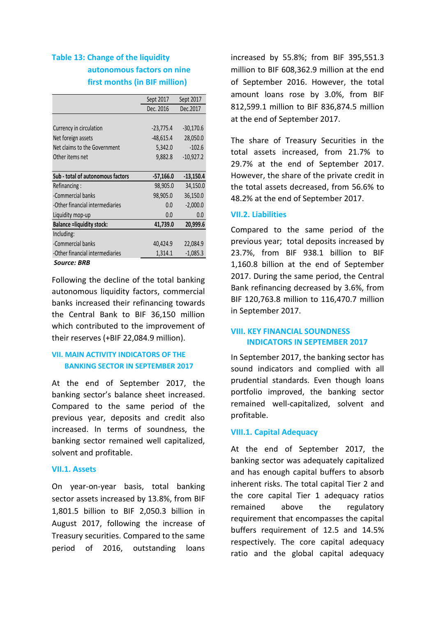## **Table 13: Change of the liquidity autonomous factors on nine first months (in BIF million)**

|                                   | Sept 2017   | Sept 2017   |
|-----------------------------------|-------------|-------------|
|                                   | Dec. 2016   | Dec.2017    |
|                                   |             |             |
| Currency in circulation           | $-23,775.4$ | $-30,170.6$ |
| Net foreign assets                | $-48,615.4$ | 28,050.0    |
| Net claims to the Government      | 5,342.0     | $-102.6$    |
| Other items net                   | 9,882.8     | $-10,927.2$ |
|                                   |             |             |
| Sub - total of autonomous factors | $-57,166.0$ | $-13,150.4$ |
| Refinancing:                      | 98,905.0    | 34,150.0    |
| -Commercial banks                 | 98,905.0    | 36,150.0    |
| -Other financial intermediaries   | 0.0         | $-2,000.0$  |
| Liquidity mop-up                  | 0.0         | 0.0         |
| <b>Balance = liquidity stock:</b> | 41,739.0    | 20,999.6    |
| Including:                        |             |             |
| -Commercial banks                 | 40,424.9    | 22,084.9    |
| -Other financial intermediaries   | 1,314.1     | $-1,085.3$  |
| Saurce: RRR                       |             |             |

#### *Source: BRB*

Following the decline of the total banking autonomous liquidity factors, commercial banks increased their refinancing towards the Central Bank to BIF 36,150 million which contributed to the improvement of their reserves (+BIF 22,084.9 million).

### **VII. MAIN ACTIVITY INDICATORS OF THE BANKING SECTOR IN SEPTEMBER 2017**

At the end of September 2017, the banking sector's balance sheet increased. Compared to the same period of the previous year, deposits and credit also increased. In terms of soundness, the banking sector remained well capitalized, solvent and profitable.

### **VII.1. Assets**

On year-on-year basis, total banking sector assets increased by 13.8%, from BIF 1,801.5 billion to BIF 2,050.3 billion in August 2017, following the increase of Treasury securities. Compared to the same period of 2016, outstanding loans

increased by 55.8%; from BIF 395,551.3 million to BIF 608,362.9 million at the end of September 2016. However, the total amount loans rose by 3.0%, from BIF 812,599.1 million to BIF 836,874.5 million at the end of September 2017.

The share of Treasury Securities in the total assets increased, from 21.7% to 29.7% at the end of September 2017. However, the share of the private credit in the total assets decreased, from 56.6% to 48.2% at the end of September 2017.

### **VII.2. Liabilities**

Compared to the same period of the previous year; total deposits increased by 23.7%, from BIF 938.1 billion to BIF 1,160.8 billion at the end of September 2017. During the same period, the Central Bank refinancing decreased by 3.6%, from BIF 120,763.8 million to 116,470.7 million in September 2017.

### **VIII. KEY FINANCIAL SOUNDNESS INDICATORS IN SEPTEMBER 2017**

In September 2017, the banking sector has sound indicators and complied with all prudential standards. Even though loans portfolio improved, the banking sector remained well-capitalized, solvent and profitable.

### **VIII.1. Capital Adequacy**

At the end of September 2017, the banking sector was adequately capitalized and has enough capital buffers to absorb inherent risks. The total capital Tier 2 and the core capital Tier 1 adequacy ratios remained above the regulatory requirement that encompasses the capital buffers requirement of 12.5 and 14.5% respectively. The core capital adequacy ratio and the global capital adequacy